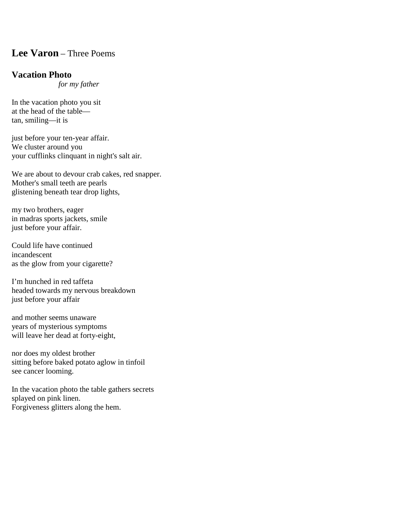## **Lee Varon** – Three Poems

## **Vacation Photo**

 *for my father*

In the vacation photo you sit at the head of the table tan, smiling—it is

just before your ten-year affair. We cluster around you your cufflinks clinquant in night's salt air.

We are about to devour crab cakes, red snapper. Mother's small teeth are pearls glistening beneath tear drop lights,

my two brothers, eager in madras sports jackets, smile just before your affair.

Could life have continued incandescent as the glow from your cigarette?

I'm hunched in red taffeta headed towards my nervous breakdown just before your affair

and mother seems unaware years of mysterious symptoms will leave her dead at forty-eight,

nor does my oldest brother sitting before baked potato aglow in tinfoil see cancer looming.

In the vacation photo the table gathers secrets splayed on pink linen. Forgiveness glitters along the hem.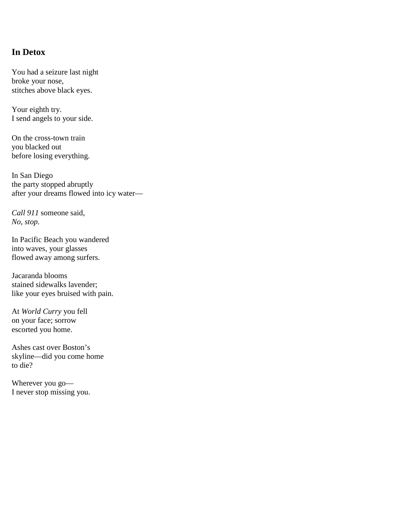## **In Detox**

You had a seizure last night broke your nose, stitches above black eyes.

Your eighth try. I send angels to your side.

On the cross-town train you blacked out before losing everything.

In San Diego the party stopped abruptly after your dreams flowed into icy water—

*Call 911* someone said, *No, stop.*

In Pacific Beach you wandered into waves, your glasses flowed away among surfers.

Jacaranda blooms stained sidewalks lavender; like your eyes bruised with pain.

At *World Curry* you fell on your face; sorrow escorted you home.

Ashes cast over Boston's skyline—did you come home to die?

Wherever you go— I never stop missing you.